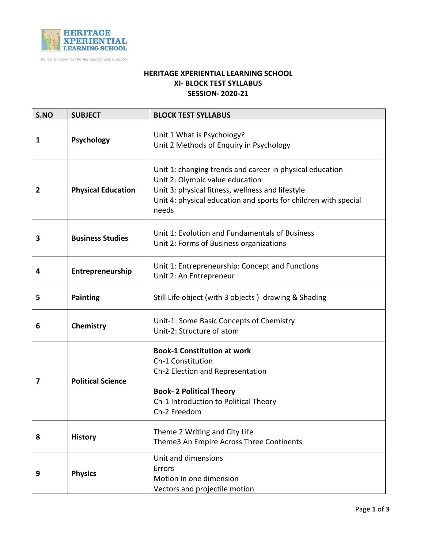

Formerly known as The Heritage School, Gurgaon

## **HERITAGE XPERIENTIAL LEARNING SCHOOL XI- BLOCK TEST SYLLABUS SESSION- 2020-21**

| S.NO         | <b>SUBJECT</b>            | <b>BLOCK TEST SYLLABUS</b>                                                                                                                                                                                                  |
|--------------|---------------------------|-----------------------------------------------------------------------------------------------------------------------------------------------------------------------------------------------------------------------------|
| 1            | <b>Psychology</b>         | Unit 1 What is Psychology?<br>Unit 2 Methods of Enquiry in Psychology                                                                                                                                                       |
| $\mathbf{2}$ | <b>Physical Education</b> | Unit 1: changing trends and career in physical education<br>Unit 2: Olympic value education<br>Unit 3: physical fitness, wellness and lifestyle<br>Unit 4: physical education and sports for children with special<br>needs |
| 3            | <b>Business Studies</b>   | Unit 1: Evolution and Fundamentals of Business<br>Unit 2: Forms of Business organizations                                                                                                                                   |
| 4            | Entrepreneurship          | Unit 1: Entrepreneurship: Concept and Functions<br>Unit 2: An Entrepreneur                                                                                                                                                  |
| 5            | <b>Painting</b>           | Still Life object (with 3 objects) drawing & Shading                                                                                                                                                                        |
| 6            | Chemistry                 | Unit-1: Some Basic Concepts of Chemistry<br>Unit-2: Structure of atom                                                                                                                                                       |
| 7            | <b>Political Science</b>  | <b>Book-1 Constitution at work</b><br>Ch-1 Constitution<br>Ch-2 Election and Representation<br><b>Book- 2 Political Theory</b><br>Ch-1 Introduction to Political Theory<br>Ch-2 Freedom                                     |
| 8            | <b>History</b>            | Theme 2 Writing and City Life<br>Theme3 An Empire Across Three Continents                                                                                                                                                   |
| 9            | <b>Physics</b>            | Unit and dimensions<br>Errors<br>Motion in one dimension<br>Vectors and projectile motion                                                                                                                                   |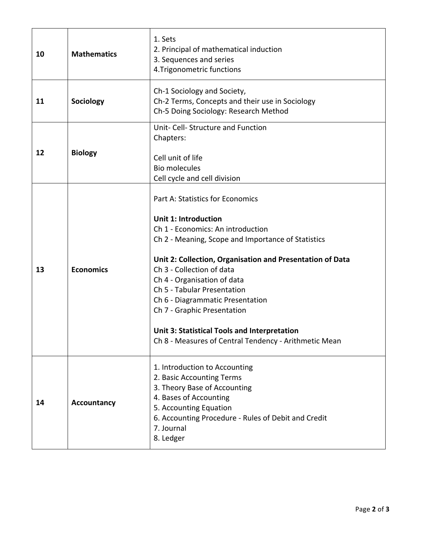| 10 | <b>Mathematics</b> | 1. Sets<br>2. Principal of mathematical induction<br>3. Sequences and series<br>4. Trigonometric functions                                                                                                                                                                                                                                                                                                                                                                                            |
|----|--------------------|-------------------------------------------------------------------------------------------------------------------------------------------------------------------------------------------------------------------------------------------------------------------------------------------------------------------------------------------------------------------------------------------------------------------------------------------------------------------------------------------------------|
| 11 | Sociology          | Ch-1 Sociology and Society,<br>Ch-2 Terms, Concepts and their use in Sociology<br>Ch-5 Doing Sociology: Research Method                                                                                                                                                                                                                                                                                                                                                                               |
| 12 | <b>Biology</b>     | Unit- Cell- Structure and Function<br>Chapters:<br>Cell unit of life<br><b>Bio molecules</b><br>Cell cycle and cell division                                                                                                                                                                                                                                                                                                                                                                          |
| 13 | <b>Economics</b>   | Part A: Statistics for Economics<br><b>Unit 1: Introduction</b><br>Ch 1 - Economics: An introduction<br>Ch 2 - Meaning, Scope and Importance of Statistics<br>Unit 2: Collection, Organisation and Presentation of Data<br>Ch 3 - Collection of data<br>Ch 4 - Organisation of data<br>Ch 5 - Tabular Presentation<br>Ch 6 - Diagrammatic Presentation<br>Ch 7 - Graphic Presentation<br><b>Unit 3: Statistical Tools and Interpretation</b><br>Ch 8 - Measures of Central Tendency - Arithmetic Mean |
| 14 | <b>Accountancy</b> | 1. Introduction to Accounting<br>2. Basic Accounting Terms<br>3. Theory Base of Accounting<br>4. Bases of Accounting<br>5. Accounting Equation<br>6. Accounting Procedure - Rules of Debit and Credit<br>7. Journal<br>8. Ledger                                                                                                                                                                                                                                                                      |